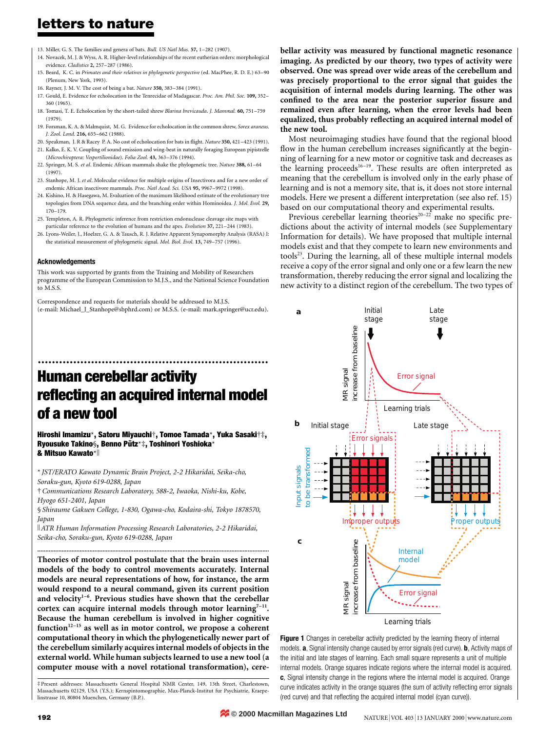- 13. Miller, G. S. The families and genera of bats. Bull. US Natl Mus. 57, 1-282 (1907).
- 14. Novacek, M. J. & Wyss, A. R. Higher-level relationships of the recent eutherian orders: morphological evidence. Cladistics 2, 257-287 (1986).
- 15. Beard, K. C. in Primates and their relatives in phylogenetic perspective (ed. MacPhee, R. D. E.) 63-90 (Plenum, New York, 1993).
- 16. Rayner, J. M. V. The cost of being a bat. Nature 350, 383-384 (1991).
- 17. Gould, E. Evidence for echolocation in the Tenrecidae of Madagascar. Proc. Am. Phil. Soc. 109, 352-360 (1965).
- 18. Tomasi, T. E. Echolocation by the short-tailed shrew *Blarina brevicauda. J. Mammal.* 60, 751–759 (1979).
- 19. Forsman, K. A. & Malmquist, M. G. Evidence for echolocation in the common shrew, Sorex araneus J. Zool. Lond. 216, 655-662 (1988).
- 20. Speakman, J. R & Racey P. A. No cost of echolocation for bats in flight. Nature 350, 421-423 (1991). 21. Kalko, E. K. V. Coupling of sound emission and wing-beat in naturally foraging European pipistrelle
- (Microchiroptera: Vespertilionidae). Folia Zool. 43, 363-376 (1994). 22. Springer, M. S. et al. Endemic African mammals shake the phylogenetic tree. Nature 388, 61-64 (1997).
- 23. Stanhope, M. J. et al. Molecular evidence for multiple origins of Insectivora and for a new order of endemic African insectivore mammals. Proc. Natl Acad. Sci. USA 95, 9967-9972 (1998).
- 24. Kishino, H. & Hasegawa, M. Evaluation of the maximum likelihood estimate of the evolutionary tree topologies from DNA sequence data, and the branching order within Hominoidea. J. Mol. Evol. 29, 170±179.
- 25. Templeton, A. R. Phylogenetic inference from restriction endonuclease cleavage site maps with particular reference to the evolution of humans and the apes. Evolution 37, 221-244 (1983).
- 26. Lyons-Weiler, J., Hoelzer, G. A. & Tausch, R. J. Relative Apparent Synapomorphy Analysis (RASA) I: the statistical measurement of phylogenetic signal. Mol. Biol. Evol. 13, 749-757 (1996).

#### Acknowledgements

This work was supported by grants from the Training and Mobility of Researchers programme of the European Commission to M.J.S., and the National Science Foundation to M.S.S.

Correspondence and requests for materials should be addressed to M.J.S. (e-mail: Michael\_J\_Stanhope@sbphrd.com) or M.S.S. (e-mail: mark.springer@ucr.edu). bellar activity was measured by functional magnetic resonance imaging. As predicted by our theory, two types of activity were observed. One was spread over wide areas of the cerebellum and was precisely proportional to the error signal that guides the acquisition of internal models during learning. The other was confined to the area near the posterior superior fissure and remained even after learning, when the error levels had been equalized, thus probably reflecting an acquired internal model of the new tool.

Most neuroimaging studies have found that the regional blood flow in the human cerebellum increases significantly at the beginning of learning for a new motor or cognitive task and decreases as the learning proceeds<sup>16-19</sup>. These results are often interpreted as meaning that the cerebellum is involved only in the early phase of learning and is not a memory site, that is, it does not store internal models. Here we present a different interpretation (see also ref. 15) based on our computational theory and experimental results.

Previous cerebellar learning theories<sup>20-22</sup> make no specific predictions about the activity of internal models (see Supplementary Information for details). We have proposed that multiple internal models exist and that they compete to learn new environments and tools<sup>23</sup>. During the learning, all of these multiple internal models receive a copy of the error signal and only one or a few learn the new transformation, thereby reducing the error signal and localizing the new activity to a distinct region of the cerebellum. The two types of



Figure 1 Changes in cerebellar activity predicted by the learning theory of internal models. a, Signal intensity change caused by error signals (red curve). b, Activity maps of the initial and late stages of learning. Each small square represents a unit of multiple internal models. Orange squares indicate regions where the internal model is acquired. c, Signal intensity change in the regions where the internal model is acquired. Orange curve indicates activity in the orange squares (the sum of activity reflecting error signals (red curve) and that reflecting the acquired internal model (cyan curve)).

# Human cerebellar activity reflecting an acquired internal model of a new tool

.................................................................

Hiroshi Imamizu\*, Satoru Miyauchi†, Tomoe Tamada\*, Yuka Sasaki†‡, Ryousuke Takino§, Benno Pütz\*‡, Toshinori Yoshioka\* & Mitsuo Kawato\*

\* JST/ERATO Kawato Dynamic Brain Project, 2-2 Hikaridai, Seika-cho, Soraku-gun, Kyoto 619-0288, Japan

² Communications Research Laboratory, 588-2, Iwaoka, Nishi-ku, Kobe, Hyogo 651-2401, Japan

§ Shiraume Gakuen College, 1-830, Ogawa-cho, Kodaira-shi, Tokyo 1878570, Japan

K ATR Human Information Processing Research Laboratories, 2-2 Hikaridai, Seika-cho, Soraku-gun, Kyoto 619-0288, Japan

..............................................................................................................................................

Theories of motor control postulate that the brain uses internal models of the body to control movements accurately. Internal models are neural representations of how, for instance, the arm would respond to a neural command, given its current position and velocity<sup>1-6</sup>. Previous studies have shown that the cerebellar cortex can acquire internal models through motor learning<sup>7-11</sup>. Because the human cerebellum is involved in higher cognitive function $12-15$  as well as in motor control, we propose a coherent computational theory in which the phylogenetically newer part of the cerebellum similarly acquires internal models of objects in the external world. While human subjects learned to use a new tool (a computer mouse with a novel rotational transformation), cere-

³ Present addresses: Massachusetts General Hospital NMR Center, 149, 13th Street, Charlestown, Massachusetts 02129, USA (Y.S.); Kernspintomographie, Max-Planck-Institut fur Psychiatrie, Kraepelinstrasse 10, 80804 Muenchen, Germany (B.P.).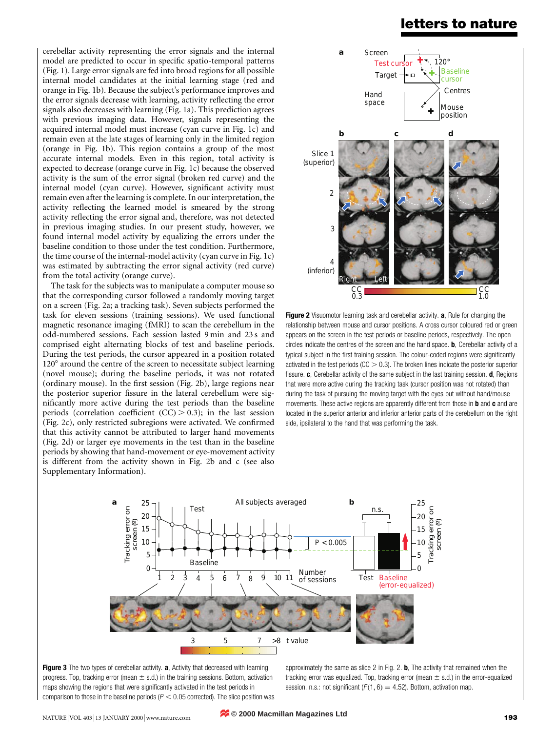cerebellar activity representing the error signals and the internal model are predicted to occur in specific spatio-temporal patterns (Fig. 1). Large error signals are fed into broad regions for all possible internal model candidates at the initial learning stage (red and orange in Fig. 1b). Because the subject's performance improves and the error signals decrease with learning, activity reflecting the error signals also decreases with learning (Fig. 1a). This prediction agrees with previous imaging data. However, signals representing the acquired internal model must increase (cyan curve in Fig. 1c) and remain even at the late stages of learning only in the limited region (orange in Fig. 1b). This region contains a group of the most accurate internal models. Even in this region, total activity is expected to decrease (orange curve in Fig. 1c) because the observed activity is the sum of the error signal (broken red curve) and the internal model (cyan curve). However, significant activity must remain even after the learning is complete. In our interpretation, the activity reflecting the learned model is smeared by the strong activity reflecting the error signal and, therefore, was not detected in previous imaging studies. In our present study, however, we found internal model activity by equalizing the errors under the baseline condition to those under the test condition. Furthermore, the time course of the internal-model activity (cyan curve in Fig. 1c) was estimated by subtracting the error signal activity (red curve) from the total activity (orange curve).

The task for the subjects was to manipulate a computer mouse so that the corresponding cursor followed a randomly moving target on a screen (Fig. 2a; a tracking task). Seven subjects performed the task for eleven sessions (training sessions). We used functional magnetic resonance imaging (fMRI) to scan the cerebellum in the odd-numbered sessions. Each session lasted 9 min and 23 s and comprised eight alternating blocks of test and baseline periods. During the test periods, the cursor appeared in a position rotated 120° around the centre of the screen to necessitate subject learning (novel mouse); during the baseline periods, it was not rotated (ordinary mouse). In the first session (Fig. 2b), large regions near the posterior superior fissure in the lateral cerebellum were significantly more active during the test periods than the baseline periods (correlation coefficient  $(CC) > 0.3$ ); in the last session (Fig. 2c), only restricted subregions were activated. We confirmed that this activity cannot be attributed to larger hand movements (Fig. 2d) or larger eye movements in the test than in the baseline periods by showing that hand-movement or eye-movement activity is different from the activity shown in Fig. 2b and c (see also Supplementary Information).



Figure 2 Visuomotor learning task and cerebellar activity. a, Rule for changing the relationship between mouse and cursor positions. A cross cursor coloured red or green appears on the screen in the test periods or baseline periods, respectively. The open circles indicate the centres of the screen and the hand space. **b**, Cerebellar activity of a typical subject in the first training session. The colour-coded regions were significantly activated in the test periods ( $CC > 0.3$ ). The broken lines indicate the posterior superior fissure.  $\mathbf c$ , Cerebellar activity of the same subject in the last training session.  $\mathbf d$ , Regions that were more active during the tracking task (cursor position was not rotated) than during the task of pursuing the moving target with the eyes but without hand/mouse movements. These active regions are apparently different from those in **b** and **c** and are located in the superior anterior and inferior anterior parts of the cerebellum on the right side, ipsilateral to the hand that was performing the task.





approximately the same as slice 2 in Fig. 2.  $\mathbf{b}$ , The activity that remained when the tracking error was equalized. Top, tracking error (mean  $\pm$  s.d.) in the error-equalized session. n.s.: not significant ( $F(1, 6) = 4.52$ ). Bottom, activation map.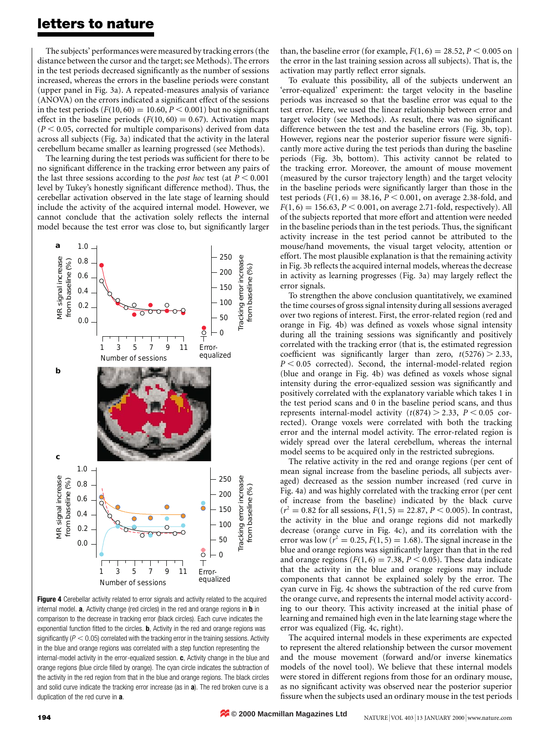The subjects' performances were measured by tracking errors (the distance between the cursor and the target; see Methods). The errors in the test periods decreased significantly as the number of sessions increased, whereas the errors in the baseline periods were constant (upper panel in Fig. 3a). A repeated-measures analysis of variance (ANOVA) on the errors indicated a significant effect of the sessions in the test periods  $(F(10, 60) = 10.60, P \le 0.001)$  but no significant effect in the baseline periods  $(F(10, 60) = 0.67)$ . Activation maps  $(P < 0.05$ , corrected for multiple comparisons) derived from data across all subjects (Fig. 3a) indicated that the activity in the lateral cerebellum became smaller as learning progressed (see Methods).

The learning during the test periods was sufficient for there to be no significant difference in the tracking error between any pairs of the last three sessions according to the *post hoc* test (at  $P < 0.001$ ) level by Tukey's honestly significant difference method). Thus, the cerebellar activation observed in the late stage of learning should include the activity of the acquired internal model. However, we cannot conclude that the activation solely reflects the internal model because the test error was close to, but significantly larger



Figure 4 Cerebellar activity related to error signals and activity related to the acquired internal model. a, Activity change (red circles) in the red and orange regions in **b** in comparison to the decrease in tracking error (black circles). Each curve indicates the exponential function fitted to the circles. **, Activity in the red and orange regions was** significantly ( $P < 0.05$ ) correlated with the tracking error in the training sessions. Activity in the blue and orange regions was correlated with a step function representing the internal-model activity in the error-equalized session. **c**, Activity change in the blue and orange regions (blue circle filled by orange). The cyan circle indicates the subtraction of the activity in the red region from that in the blue and orange regions. The black circles and solid curve indicate the tracking error increase (as in a). The red broken curve is a duplication of the red curve in **a**.

than, the baseline error (for example,  $F(1, 6) = 28.52$ ,  $P < 0.005$  on the error in the last training session across all subjects). That is, the activation may partly reflect error signals.

To evaluate this possibility, all of the subjects underwent an `error-equalized' experiment: the target velocity in the baseline periods was increased so that the baseline error was equal to the test error. Here, we used the linear relationship between error and target velocity (see Methods). As result, there was no significant difference between the test and the baseline errors (Fig. 3b, top). However, regions near the posterior superior fissure were significantly more active during the test periods than during the baseline periods (Fig. 3b, bottom). This activity cannot be related to the tracking error. Moreover, the amount of mouse movement (measured by the cursor trajectory length) and the target velocity in the baseline periods were significantly larger than those in the test periods  $(F(1, 6) = 38.16, P < 0.001$ , on average 2.38-fold, and  $F(1, 6) = 156.63, P < 0.001$ , on average 2.71-fold, respectively). All of the subjects reported that more effort and attention were needed in the baseline periods than in the test periods. Thus, the significant activity increase in the test period cannot be attributed to the mouse/hand movements, the visual target velocity, attention or effort. The most plausible explanation is that the remaining activity in Fig. 3b reflects the acquired internal models, whereas the decrease in activity as learning progresses (Fig. 3a) may largely reflect the error signals.

To strengthen the above conclusion quantitatively, we examined the time courses of gross signal intensity during all sessions averaged over two regions of interest. First, the error-related region (red and orange in Fig. 4b) was defined as voxels whose signal intensity during all the training sessions was significantly and positively correlated with the tracking error (that is, the estimated regression coefficient was significantly larger than zero,  $t(5276) > 2.33$ ,  $P < 0.05$  corrected). Second, the internal-model-related region (blue and orange in Fig. 4b) was defined as voxels whose signal intensity during the error-equalized session was significantly and positively correlated with the explanatory variable which takes 1 in the test period scans and 0 in the baseline period scans, and thus represents internal-model activity ( $t(874) > 2.33$ ,  $P < 0.05$  corrected). Orange voxels were correlated with both the tracking error and the internal model activity. The error-related region is widely spread over the lateral cerebellum, whereas the internal model seems to be acquired only in the restricted subregions.

The relative activity in the red and orange regions (per cent of mean signal increase from the baseline periods, all subjects averaged) decreased as the session number increased (red curve in Fig. 4a) and was highly correlated with the tracking error (per cent of increase from the baseline) indicated by the black curve  $(r^2 = 0.82$  for all sessions,  $F(1, 5) = 22.87$ ,  $P < 0.005$ ). In contrast, the activity in the blue and orange regions did not markedly decrease (orange curve in Fig. 4c), and its correlation with the error was low ( $r^2 = 0.25$ ,  $F(1, 5) = 1.68$ ). The signal increase in the blue and orange regions was significantly larger than that in the red and orange regions ( $F(1, 6) = 7.38$ ,  $P < 0.05$ ). These data indicate that the activity in the blue and orange regions may include components that cannot be explained solely by the error. The cyan curve in Fig. 4c shows the subtraction of the red curve from the orange curve, and represents the internal model activity according to our theory. This activity increased at the initial phase of learning and remained high even in the late learning stage where the error was equalized (Fig. 4c, right).

The acquired internal models in these experiments are expected to represent the altered relationship between the cursor movement and the mouse movement (forward and/or inverse kinematics models of the novel tool). We believe that these internal models were stored in different regions from those for an ordinary mouse, as no significant activity was observed near the posterior superior fissure when the subjects used an ordinary mouse in the test periods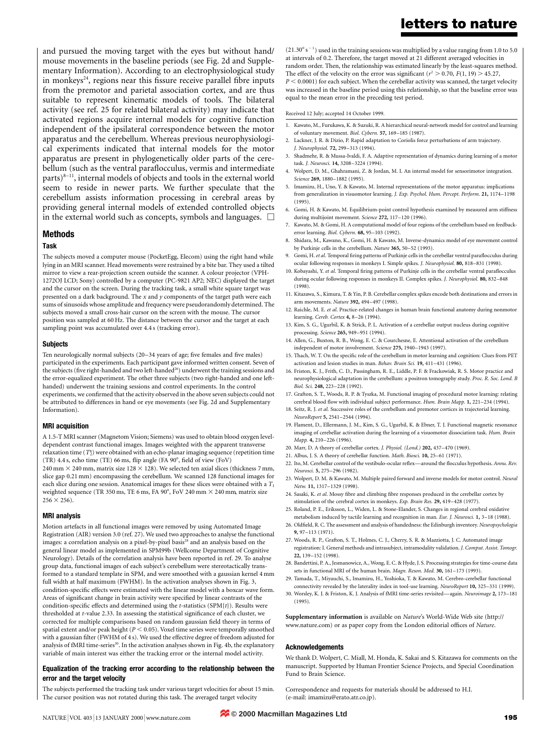and pursued the moving target with the eyes but without hand/ mouse movements in the baseline periods (see Fig. 2d and Supplementary Information). According to an electrophysiological study in monkeys<sup>24</sup>, regions near this fissure receive parallel fibre inputs from the premotor and parietal association cortex, and are thus suitable to represent kinematic models of tools. The bilateral activity (see ref. 25 for related bilateral activity) may indicate that activated regions acquire internal models for cognitive function independent of the ipsilateral correspondence between the motor apparatus and the cerebellum. Whereas previous neurophysiological experiments indicated that internal models for the motor apparatus are present in phylogenetically older parts of the cerebellum (such as the ventral paraflocculus, vermis and intermediate parts) $8-11$ , internal models of objects and tools in the external world seem to reside in newer parts. We further speculate that the cerebellum assists information processing in cerebral areas by providing general internal models of extended controlled objects in the external world such as concepts, symbols and languages.  $\Box$ 

#### Methods

#### Task

The subjects moved a computer mouse (PocketEgg, Elecom) using the right hand while lying in an MRI scanner. Head movements were restrained by a bite bar. They used a tilted mirror to view a rear-projection screen outside the scanner. A colour projector (VPH-1272OJ LCD; Sony) controlled by a computer (PC-9821 AP2; NEC) displayed the target and the cursor on the screen. During the tracking task, a small white square target was presented on a dark background. The  $x$  and  $y$  components of the target path were each sums of sinusoids whose amplitude and frequency were pseudorandomly determined. The subjects moved a small cross-hair cursor on the screen with the mouse. The cursor position was sampled at 60 Hz. The distance between the cursor and the target at each sampling point was accumulated over 4.4 s (tracking error).

#### Subjects

Ten neurologically normal subjects  $(20-34$  years of age; five females and five males) participated in the experiments. Each participant gave informed written consent. Seven of the subjects (five right-handed and two left-handed<sup>26</sup>) underwent the training sessions and the error-equalized experiment. The other three subjects (two right-handed and one lefthanded) underwent the training sessions and control experiments. In the control experiments, we confirmed that the activity observed in the above seven subjects could not be attributed to differences in hand or eye movements (see Fig. 2d and Supplementary Information).

#### MRI acquisition

A 1.5-T MRI scanner (Magnetom Vision; Siemens) was used to obtain blood oxygen leveldependent contrast functional images. Images weighted with the apparent transverse relaxation time (  $T_2^{\star}$  ) were obtained with an echo-planar imaging sequence (repetition time (TR) 4.4 s, echo time (TE) 66 ms, flip angle (FA  $90^\circ$ , field of view (FoV) 240 mm  $\times$  240 mm, matrix size 128  $\times$  128). We selected ten axial slices (thickness 7 mm, slice gap 0.21 mm) encompassing the cerebellum. We scanned 128 functional images for each slice during one session. Anatomical images for these slices were obtained with a  $T_1$ weighted sequence (TR 350 ms, TE 6 ms, FA 90 $^{\circ}$ , FoV 240 mm  $\times$  240 mm, matrix size  $256 \times 256$ .

#### MRI analysis

Motion artefacts in all functional images were removed by using Automated Image Registration (AIR) version 3.0 (ref. 27). We used two approaches to analyse the functional images: a correlation analysis on a pixel-by-pixel basis<sup>28</sup> and an analysis based on the general linear model as implemented in SPM99b (Wellcome Department of Cognitive Neurology). Details of the correlation analysis have been reported in ref. 29. To analyse group data, functional images of each subject's cerebellum were stereotactically transformed to a standard template in SPM, and were smoothed with a gaussian kernel 4 mm full width at half maximum (FWHM). In the activation analyses shown in Fig. 3, condition-specific effects were estimated with the linear model with a boxcar wave form. Areas of significant change in brain activity were specified by linear contrasts of the condition-specific effects and determined using the t-statistics (SPM{t}). Results were thresholded at t-value 2.33. In assessing the statistical significance of each cluster, we corrected for multiple comparisons based on random gaussian field theory in terms of spatial extent and/or peak height ( $P < 0.05$ ). Voxel time series were temporally smoothed with a gaussian filter (FWHM of 4 s). We used the effective degree of freedom adjusted for analysis of fMRI time-series<sup>30</sup>. In the activation analyses shown in Fig. 4b, the explanatory variable of main interest was either the tracking error or the internal model activity.

#### Equalization of the tracking error according to the relationship between the error and the target velocity

The subjects performed the tracking task under various target velocities for about 15 min. The cursor position was not rotated during this task. The averaged target velocity

 $(21.30^{\circ} s^{-1})$  used in the training sessions was multiplied by a value ranging from 1.0 to 5.0 at intervals of 0.2. Therefore, the target moved at 21 different averaged velocities in random order. Then, the relationship was estimated linearly by the least-squares method. The effect of the velocity on the error was significant ( $r^2 > 0.70$ ,  $F(1, 19) > 45.27$ ,  $P < 0.0001$ ) for each subject. When the cerebellar activity was scanned, the target velocity

was increased in the baseline period using this relationship, so that the baseline error was equal to the mean error in the preceding test period.

#### Received 12 July; accepted 14 October 1999.

- 1. Kawato, M., Furukawa, K. & Suzuki, R. A hierarchical neural-network model for control and learning of voluntary movement. Biol. Cybern. 57, 169-185 (1987).
- 2. Lackner, J. R. & Dizio, P. Rapid adaptation to Coriolis force perturbations of arm trajectory. J. Neurophysiol. 72, 299-313 (1994).
- 3. Shadmehr, R. & Mussa-Ivaldi, F. A. Adaptive representation of dynamics during learning of a motor task. J. Neurosci. 14, 3208-3224 (1994).
- 4. Wolpert, D. M., Ghahramani, Z. & Jordan, M. I. An internal model for sensorimotor integration. Science 269, 1880-1882 (1995).
- 5. Imamizu, H., Uno, Y. & Kawato, M. Internal representations of the motor apparatus: implications from generalization in visuomotor learning. J. Exp. Psychol. Hum. Percept. Perform. 21, 1174-1198 (1995).
- 6. Gomi, H. & Kawato, M. Equilibrium-point control hypothesis examined by measured arm stiffness during multijoint movement. Science 272, 117-120 (1996).
- 7. Kawato, M. & Gomi, H. A computational model of four regions of the cerebellum based on feedbackerror learning. Biol. Cybern. 68, 95-103 (1992).
- 8. Shidara, M., Kawano, K., Gomi, H. & Kawato, M. Inverse-dynamics model of eye movement control by Purkinje cells in the cerebellum. Nature 365, 50-52 (1993).
- 9. Gomi, H. et al. Temporal firing patterns of Purkinje cells in the cerebellar ventral paraflocculus during ocular following responses in monkeys I. Simple spikes. J. Neurophysiol. 80, 818-831 (1998).
- 10. Kobayashi, Y. et al. Temporal firing patterns of Purkinje cells in the cerebellar ventral paraflocculus during ocular following responses in monkeys II. Complex spikes. J. Neurophysiol. 80, 832-848 (1998).
- 11. Kitazawa, S., Kimura, T. & Yin, P. B. Cerebellar complex spikes encode both destinations and errors in arm movements. Nature 392, 494-497 (1998).
- 12. Raichle, M. E. et al. Practice-related changes in human brain functional anatomy during nonmotor learning. Cereb. Cortex 4, 8-26 (1994).
- 13. Kim, S. G., Ugurbil, K. & Strick, P. L. Activation of a cerebellar output nucleus during cognitive processing. Science 265, 949-951 (1994).
- 14. Allen, G., Buxton, R. B., Wong, E. C. & Courchesne, E. Attentional activation of the cerebellum independent of motor involvement. Science 275, 1940-1943 (1997).
- 15. Thach, W. T. On the specific role of the cerebellum in motor learning and cognition: Clues from PET activation and lesion studies in man. Behav. Brain Sci. 19, 411-431 (1996).
- 16. Friston, K. J., Frith, C. D., Passingham, R. E., Liddle, P. F. & Frackowiak, R. S. Motor practice and neurophysiological adaptation in the cerebellum: a positron tomography study. Proc. R. Soc. Lond. B Biol. Sci. 248, 223-228 (1992).
- 17. Grafton, S. T., Woods, R. P. & Tyszka, M. Functional imaging of procedural motor learning: relating cerebral blood flow with individual subject performance. Hum. Brain Mapp. 1, 221-234 (1994).
- 18. Seitz, R. J. et al. Successive roles of the cerebellum and premotor cortices in trajectorial learning. NeuroReport 5, 2541-2544 (1994).
- 19. Flament, D., Ellermann, J. M., Kim, S. G., Ugurbil, K. & Ebner, T. J. Functional magnetic resonance imaging of cerebellar activation during the learning of a visuomotor dissociation task. Hum. Brain Mapp. 4, 210-226 (1996).
- 20. Marr, D. A theory of cerebellar cortex. J. Physiol. (Lond.) 202, 437-470 (1969).
- 21. Albus, J. S. A theory of cerebellar function. Math. Biosci. 10, 25-61 (1971). 22. Ito, M. Cerebellar control of the vestibulo-ocular reflex—around the flocculus hypothesis. Annu. Rev.
- Neurosci. 5, 275-296 (1982). 23. Wolpert, D. M. & Kawato, M. Multiple paired forward and inverse models for motor control. Neural
- Netw. 11, 1317-1329 (1998). 24. Sasaki, K. et al. Mossy fibre and climbing fibre responses produced in the cerebellar cortex by stimulation of the cerebral cortex in monkeys. Exp. Brain Res. 29, 419-428 (1977).
- 25. Roland, P. E., Eriksson, L., Widen, L. & Stone-Elander, S. Changes in regional cerebral oxidative
- metabolism induced by tactile learning and recognition in man. Eur. J. Neurosci. 1, 3-18 (1988). 26. Oldfield, R. C. The assessment and analysis of handedness: the Edinburgh inventory. Neuropsychologia 9, 97±113 (1971).
- 27. Woods, R. P., Grafton, S. T., Holmes, C. J., Cherry, S. R. & Mazziotta, J. C. Automated image registration: I. General methods and intrasubject, intramodality validation. J. Comput. Assist. Tomogr. 22, 139±152 (1998).
- 28. Bandettini, P. A., Jesmanowicz, A., Wong, E. C. & Hyde, J. S. Processing strategies for time-course data sets in functional MRI of the human brain. Magn. Reson. Med. 30, 161-173 (1993).
- 29. Tamada, T., Miyauchi, S., Imamizu, H., Yoshioka, T. & Kawato, M. Cerebro-cerebellar functional connectivity revealed by the laterality index in tool-use learning. NeuroReport 10, 325-331 (1999).
- 30. Worsley, K. J. & Friston, K. J. Analysis of fMRI time-series revisited—again. Neuroimage 2, 173-181 (1995).

Supplementary information is available on Nature's World-Wide Web site (http:// www.nature.com) or as paper copy from the London editorial offices of Nature.

#### Acknowledgements

We thank D. Wolpert, C. Miall, M. Honda, K. Sakai and S. Kitazawa for comments on the manuscript. Supported by Human Frontier Science Projects, and Special Coordination Fund to Brain Science.

Correspondence and requests for materials should be addressed to H.I. (e-mail: imamizu@erato.atr.co.jp).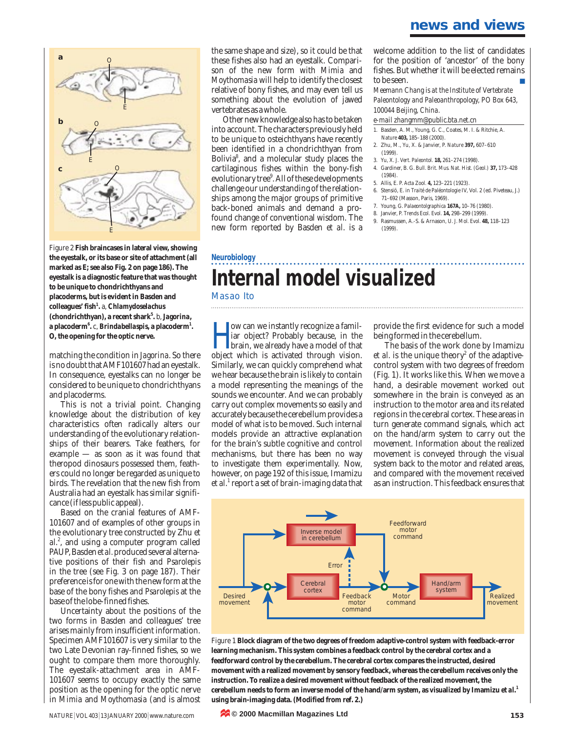### **news and views**



Figure 2 **Fish braincases in lateral view, showing the eyestalk, or its base or site of attachment (all marked as E; see also Fig. 2 on page 186). The eyestalk is a diagnostic feature that was thought to be unique to chondrichthyans and placoderms, but is evident in Basden and colleagues' fish<sup>1</sup> .** a, *Chlamydoselachus* **(chondrichthyan), a recent shark<sup>5</sup> .** b, *Jagorina***, a placoderm<sup>6</sup> .** c, *Brindabellaspis***, a placoderm<sup>1</sup> . O, the opening for the optic nerve.**

matching the condition in *Jagorina*. So there is no doubt that AMF101607 had an eyestalk. In consequence, eyestalks can no longer be considered to be unique to chondrichthyans and placoderms.

This is not a trivial point. Changing knowledge about the distribution of key characteristics often radically alters our understanding of the evolutionary relationships of their bearers. Take feathers, for example — as soon as it was found that theropod dinosaurs possessed them, feathers could no longer be regarded as unique to birds. The revelation that the new fish from Australia had an eyestalk has similar significance (if less public appeal).

Based on the cranial features of AMF-101607 and of examples of other groups in the evolutionary tree constructed by Zhu *et al*. 2 , and using a computer program called PAUP, Basden *et al.*produced several alternative positions of their fish and *Psarolepis* in the tree (see Fig. 3 on page 187). Their preference is for one with the new form at the base of the bony fishes and *Psarolepis* at the base of the lobe-finned fishes.

Uncertainty about the positions of the two forms in Basden and colleagues' tree arises mainly from insufficient information. Specimen AMF101607 is very similar to the two Late Devonian ray-finned fishes, so we ought to compare them more thoroughly. The eyestalk-attachment area in AMF-101607 seems to occupy exactly the same position as the opening for the optic nerve in *Mimia* and *Moythomasia* (and is almost the same shape and size), so it could be that these fishes also had an eyestalk. Comparison of the new form with *Mimia* and *Moythomasia* will help to identify the closest relative of bony fishes, and may even tell us something about the evolution of jawed vertebrates as a whole.

Other new knowledge also has to be taken into account. The characters previously held to be unique to osteichthyans have recently been identified in a chondrichthyan from Bolivia<sup>8</sup>, and a molecular study places the cartilaginous fishes within the bony-fish evolutionary tree 9 . All of these developments challenge our understanding of the relationships among the major groups of primitive back-boned animals and demand a profound change of conventional wisdom. The new form reported by Basden *et al*. is a

welcome addition to the list of candidates for the position of 'ancestor' of the bony fishes. But whether it will be elected remains to be seen.

*Meemann Chang is at the Institute of Vertebrate Paleontology and Paleoanthropology, PO Box 643, 100044 Beijing, China.*

#### *e-mail zhangmm@public.bta.net.cn*

- 1. Basden, A. M., Young, G. C., Coates, M. I. & Ritchie, A. *Nature* **403,** 185–188 (2000).
- 2. Zhu, M., Yu, X. & Janvier, P. *Nature* **397,** 607–610 (1999).
- 3. Yu, X. *J. Vert. Paleontol*. **18,** 261–274 (1998).
- 4. Gardiner, B. G. *Bull. Brit. Mus. Nat. Hist. (Geol.)* **37,** 173–428 (1984).
- 5. Allis, E. P. *Acta Zool.* **4,** 123–221 (1923).
- 6. Stensiö, E. in *Traité de Paléontologie* IV, Vol. 2 (ed. Piveteau, J.) 71–692 (Masson, Paris, 1969).
- 7. Young, G. *Palaeontolgraphica* **167A,** 10–76 (1980).
- 8. Janvier, P. *Trends Ecol. Evol.* **14,** 298–299 (1999).
- 9. Rasmussen, A.-S. & Arnason, U. *J. Mol. Evol*. **48,** 118–123 (1999).

## **Neurobiology Internal model visualized**

Masao Ito

ow can we instantly recognize a familiar object? Probably because, in the brain, we already have a model of that object which is activated through vision. ow can we instantly recognize a familiar object? Probably because, in the brain, we already have a model of that Similarly, we can quickly comprehend what we hear because the brain is likely to contain a model representing the meanings of the sounds we encounter. And we can probably carry out complex movements so easily and accurately because the cerebellum provides a model of what is to be moved. Such internal models provide an attractive explanation for the brain's subtle cognitive and control mechanisms, but there has been no way to investigate them experimentally. Now, however, on page 192 of this issue, Imamizu *et al*. <sup>1</sup> report a set of brain-imaging data that

provide the first evidence for such a model being formed in the cerebellum.

The basis of the work done by Imamizu *et al.* is the unique theory<sup>2</sup> of the adaptivecontrol system with two degrees of freedom (Fig. 1). It works like this. When we move a hand, a desirable movement worked out somewhere in the brain is conveyed as an instruction to the motor area and its related regions in the cerebral cortex. These areas in turn generate command signals, which act on the hand/arm system to carry out the movement. Information about the realized movement is conveyed through the visual system back to the motor and related areas, and compared with the movement received as an instruction. This feedback ensures that



Figure 1 **Block diagram of the two degrees of freedom adaptive-control system with feedback-error learning mechanism. This system combines a feedback control by the cerebral cortex and a feedforward control by the cerebellum. The cerebral cortex compares the instructed, desired movement with a realized movement by sensory feedback, whereas the cerebellum receives only the instruction. To realize a desired movement without feedback of the realized movement, the cerebellum needs to form an inverse model of the hand/arm system, as visualized by Imamizu** *et al***. 1 using brain-imaging data. (Modified from ref. 2.)**